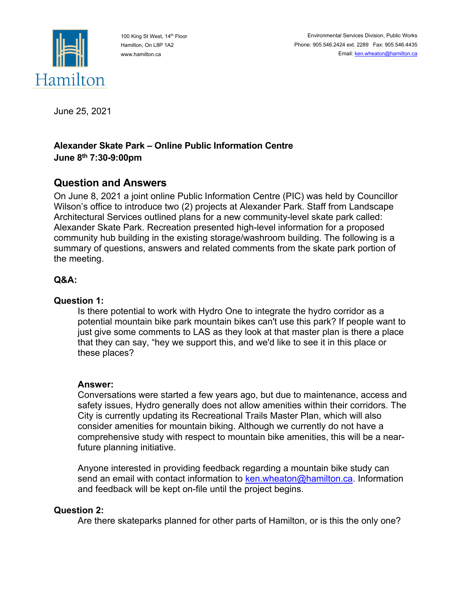

100 King St West, 14<sup>th</sup> Floor Hamilton, On L8P 1A2 www.hamilton.ca

June 25, 2021

## **Alexander Skate Park – Online Public Information Centre June 8th 7:30-9:00pm**

# **Question and Answers**

On June 8, 2021 a joint online Public Information Centre (PIC) was held by Councillor Wilson's office to introduce two (2) projects at Alexander Park. Staff from Landscape Architectural Services outlined plans for a new community-level skate park called: Alexander Skate Park. Recreation presented high-level information for a proposed community hub building in the existing storage/washroom building. The following is a summary of questions, answers and related comments from the skate park portion of the meeting.

## **Q&A:**

## **Question 1:**

Is there potential to work with Hydro One to integrate the hydro corridor as a potential mountain bike park mountain bikes can't use this park? If people want to just give some comments to LAS as they look at that master plan is there a place that they can say, "hey we support this, and we'd like to see it in this place or these places?

## **Answer:**

Conversations were started a few years ago, but due to maintenance, access and safety issues, Hydro generally does not allow amenities within their corridors. The City is currently updating its Recreational Trails Master Plan, which will also consider amenities for mountain biking. Although we currently do not have a comprehensive study with respect to mountain bike amenities, this will be a nearfuture planning initiative.

Anyone interested in providing feedback regarding a mountain bike study can send an email with contact information to ken.wheaton@hamilton.ca. Information and feedback will be kept on-file until the project begins.

## **Question 2:**

Are there skateparks planned for other parts of Hamilton, or is this the only one?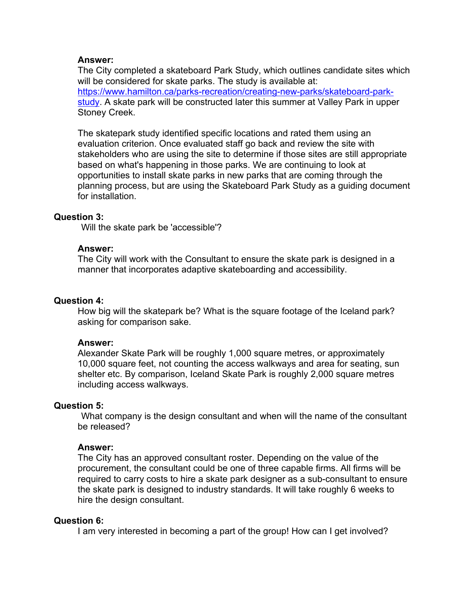#### **Answer:**

The City completed a skateboard Park Study, which outlines candidate sites which will be considered for skate parks. The study is available at: https://www.hamilton.ca/parks-recreation/creating-new-parks/skateboard-parkstudy. A skate park will be constructed later this summer at Valley Park in upper Stoney Creek.

The skatepark study identified specific locations and rated them using an evaluation criterion. Once evaluated staff go back and review the site with stakeholders who are using the site to determine if those sites are still appropriate based on what's happening in those parks. We are continuing to look at opportunities to install skate parks in new parks that are coming through the planning process, but are using the Skateboard Park Study as a guiding document for installation.

## **Question 3:**

Will the skate park be 'accessible'?

#### **Answer:**

The City will work with the Consultant to ensure the skate park is designed in a manner that incorporates adaptive skateboarding and accessibility.

#### **Question 4:**

How big will the skatepark be? What is the square footage of the Iceland park? asking for comparison sake.

#### **Answer:**

Alexander Skate Park will be roughly 1,000 square metres, or approximately 10,000 square feet, not counting the access walkways and area for seating, sun shelter etc. By comparison, Iceland Skate Park is roughly 2,000 square metres including access walkways.

## **Question 5:**

What company is the design consultant and when will the name of the consultant be released?

#### **Answer:**

The City has an approved consultant roster. Depending on the value of the procurement, the consultant could be one of three capable firms. All firms will be required to carry costs to hire a skate park designer as a sub-consultant to ensure the skate park is designed to industry standards. It will take roughly 6 weeks to hire the design consultant.

#### **Question 6:**

I am very interested in becoming a part of the group! How can I get involved?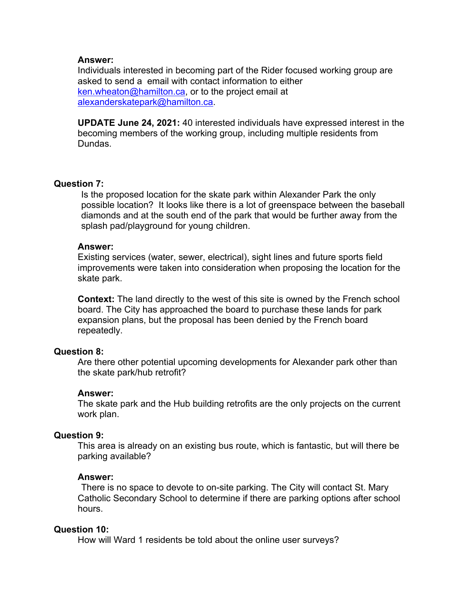## **Answer:**

Individuals interested in becoming part of the Rider focused working group are asked to send a email with contact information to either ken.wheaton@hamilton.ca, or to the project email at alexanderskatepark@hamilton.ca.

**UPDATE June 24, 2021:** 40 interested individuals have expressed interest in the becoming members of the working group, including multiple residents from Dundas.

## **Question 7:**

Is the proposed location for the skate park within Alexander Park the only possible location? It looks like there is a lot of greenspace between the baseball diamonds and at the south end of the park that would be further away from the splash pad/playground for young children.

## **Answer:**

Existing services (water, sewer, electrical), sight lines and future sports field improvements were taken into consideration when proposing the location for the skate park.

**Context:** The land directly to the west of this site is owned by the French school board. The City has approached the board to purchase these lands for park expansion plans, but the proposal has been denied by the French board repeatedly.

## **Question 8:**

Are there other potential upcoming developments for Alexander park other than the skate park/hub retrofit?

## **Answer:**

The skate park and the Hub building retrofits are the only projects on the current work plan.

## **Question 9:**

This area is already on an existing bus route, which is fantastic, but will there be parking available?

## **Answer:**

 There is no space to devote to on-site parking. The City will contact St. Mary Catholic Secondary School to determine if there are parking options after school hours.

## **Question 10:**

How will Ward 1 residents be told about the online user surveys?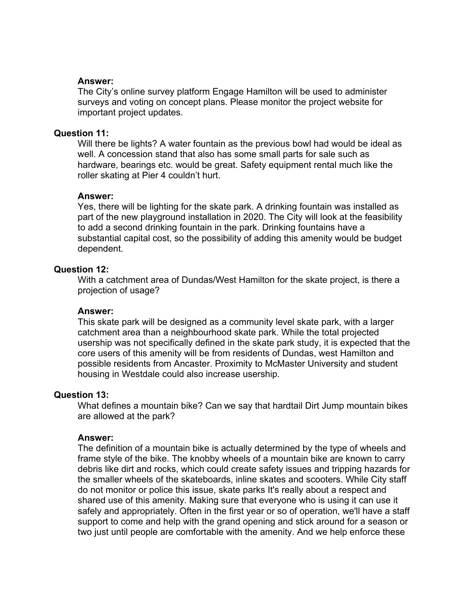## **Answer:**

The City's online survey platform Engage Hamilton will be used to administer surveys and voting on concept plans. Please monitor the project website for important project updates.

## **Question 11:**

Will there be lights? A water fountain as the previous bowl had would be ideal as well. A concession stand that also has some small parts for sale such as hardware, bearings etc. would be great. Safety equipment rental much like the roller skating at Pier 4 couldn't hurt.

#### **Answer:**

Yes, there will be lighting for the skate park. A drinking fountain was installed as part of the new playground installation in 2020. The City will look at the feasibility to add a second drinking fountain in the park. Drinking fountains have a substantial capital cost, so the possibility of adding this amenity would be budget dependent.

## **Question 12:**

With a catchment area of Dundas/West Hamilton for the skate project, is there a projection of usage?

## **Answer:**

This skate park will be designed as a community level skate park, with a larger catchment area than a neighbourhood skate park. While the total projected usership was not specifically defined in the skate park study, it is expected that the core users of this amenity will be from residents of Dundas, west Hamilton and possible residents from Ancaster. Proximity to McMaster University and student housing in Westdale could also increase usership.

#### **Question 13:**

What defines a mountain bike? Can we say that hardtail Dirt Jump mountain bikes are allowed at the park?

#### **Answer:**

The definition of a mountain bike is actually determined by the type of wheels and frame style of the bike. The knobby wheels of a mountain bike are known to carry debris like dirt and rocks, which could create safety issues and tripping hazards for the smaller wheels of the skateboards, inline skates and scooters. While City staff do not monitor or police this issue, skate parks It's really about a respect and shared use of this amenity. Making sure that everyone who is using it can use it safely and appropriately. Often in the first year or so of operation, we'll have a staff support to come and help with the grand opening and stick around for a season or two just until people are comfortable with the amenity. And we help enforce these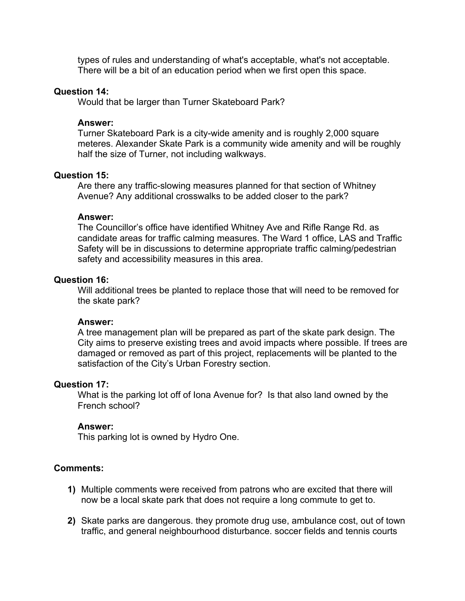types of rules and understanding of what's acceptable, what's not acceptable. There will be a bit of an education period when we first open this space.

#### **Question 14:**

Would that be larger than Turner Skateboard Park?

#### **Answer:**

Turner Skateboard Park is a city-wide amenity and is roughly 2,000 square meteres. Alexander Skate Park is a community wide amenity and will be roughly half the size of Turner, not including walkways.

#### **Question 15:**

Are there any traffic-slowing measures planned for that section of Whitney Avenue? Any additional crosswalks to be added closer to the park?

#### **Answer:**

The Councillor's office have identified Whitney Ave and Rifle Range Rd. as candidate areas for traffic calming measures. The Ward 1 office, LAS and Traffic Safety will be in discussions to determine appropriate traffic calming/pedestrian safety and accessibility measures in this area.

## **Question 16:**

Will additional trees be planted to replace those that will need to be removed for the skate park?

#### **Answer:**

A tree management plan will be prepared as part of the skate park design. The City aims to preserve existing trees and avoid impacts where possible. If trees are damaged or removed as part of this project, replacements will be planted to the satisfaction of the City's Urban Forestry section.

#### **Question 17:**

What is the parking lot off of Iona Avenue for? Is that also land owned by the French school?

#### **Answer:**

This parking lot is owned by Hydro One.

## **Comments:**

- **1)** Multiple comments were received from patrons who are excited that there will now be a local skate park that does not require a long commute to get to.
- **2)** Skate parks are dangerous. they promote drug use, ambulance cost, out of town traffic, and general neighbourhood disturbance. soccer fields and tennis courts